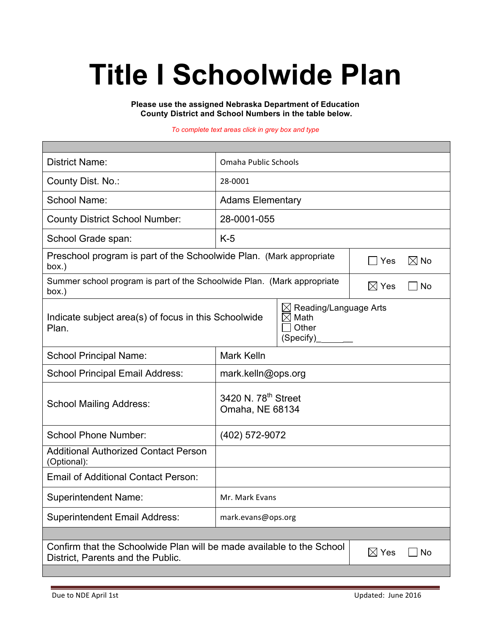# **Title I Schoolwide Plan**

**Please use the assigned Nebraska Department of Education County District and School Numbers in the table below.**

#### *To complete text areas click in grey box and type*

| <b>District Name:</b>                                                                                                               | Omaha Public Schools                               |                                                     |                              |  |  |
|-------------------------------------------------------------------------------------------------------------------------------------|----------------------------------------------------|-----------------------------------------------------|------------------------------|--|--|
| County Dist. No.:                                                                                                                   | 28-0001                                            |                                                     |                              |  |  |
| <b>School Name:</b>                                                                                                                 | <b>Adams Elementary</b>                            |                                                     |                              |  |  |
| <b>County District School Number:</b>                                                                                               | 28-0001-055                                        |                                                     |                              |  |  |
| School Grade span:                                                                                                                  | $K-5$                                              |                                                     |                              |  |  |
| Preschool program is part of the Schoolwide Plan. (Mark appropriate<br>box.)                                                        |                                                    |                                                     | $\boxtimes$ No<br>Yes        |  |  |
| Summer school program is part of the Schoolwide Plan. (Mark appropriate<br>box.)                                                    |                                                    |                                                     | $\boxtimes$ Yes<br><b>No</b> |  |  |
| $\boxtimes$<br>Indicate subject area(s) of focus in this Schoolwide<br>$\times$<br>Plan.                                            |                                                    | Reading/Language Arts<br>Math<br>Other<br>(Specify) |                              |  |  |
| <b>School Principal Name:</b>                                                                                                       | <b>Mark Kelln</b>                                  |                                                     |                              |  |  |
| <b>School Principal Email Address:</b>                                                                                              | mark.kelln@ops.org                                 |                                                     |                              |  |  |
| <b>School Mailing Address:</b>                                                                                                      | 3420 N. 78 <sup>th</sup> Street<br>Omaha, NE 68134 |                                                     |                              |  |  |
| <b>School Phone Number:</b>                                                                                                         | (402) 572-9072                                     |                                                     |                              |  |  |
| <b>Additional Authorized Contact Person</b><br>(Optional):                                                                          |                                                    |                                                     |                              |  |  |
| <b>Email of Additional Contact Person:</b>                                                                                          |                                                    |                                                     |                              |  |  |
| <b>Superintendent Name:</b>                                                                                                         | Mr. Mark Evans                                     |                                                     |                              |  |  |
| <b>Superintendent Email Address:</b>                                                                                                | mark.evans@ops.org                                 |                                                     |                              |  |  |
|                                                                                                                                     |                                                    |                                                     |                              |  |  |
| Confirm that the Schoolwide Plan will be made available to the School<br>$\boxtimes$ Yes<br>No<br>District, Parents and the Public. |                                                    |                                                     |                              |  |  |
|                                                                                                                                     |                                                    |                                                     |                              |  |  |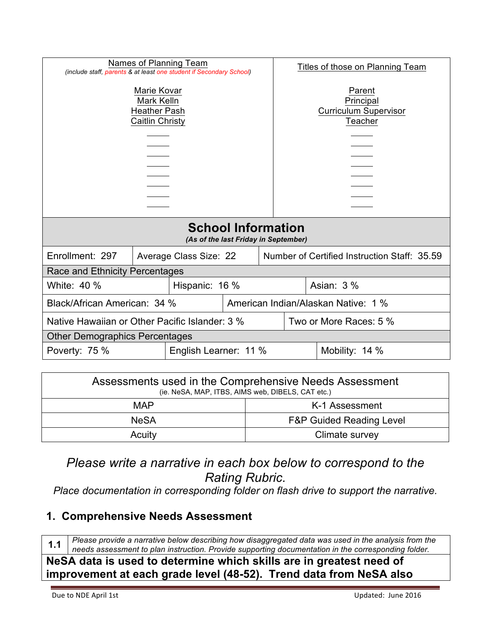| Names of Planning Team                                                                                                                            |  |                                                                        | Titles of those on Planning Team                               |                                     |  |  |
|---------------------------------------------------------------------------------------------------------------------------------------------------|--|------------------------------------------------------------------------|----------------------------------------------------------------|-------------------------------------|--|--|
| (include staff, parents & at least one student if Secondary School)<br>Marie Kovar<br><b>Mark Kelln</b><br><b>Heather Pash</b><br>Caitlin Christy |  |                                                                        | Parent<br>Principal<br><b>Curriculum Supervisor</b><br>Teacher |                                     |  |  |
| <b>School Information</b>                                                                                                                         |  |                                                                        |                                                                |                                     |  |  |
|                                                                                                                                                   |  | (As of the last Friday in September)                                   |                                                                |                                     |  |  |
| Enrollment: 297                                                                                                                                   |  | Number of Certified Instruction Staff: 35.59<br>Average Class Size: 22 |                                                                |                                     |  |  |
| Race and Ethnicity Percentages                                                                                                                    |  |                                                                        |                                                                |                                     |  |  |
| White: 40 %<br>Hispanic: 16 %                                                                                                                     |  |                                                                        | Asian: $3\%$                                                   |                                     |  |  |
| Black/African American: 34 %                                                                                                                      |  |                                                                        |                                                                | American Indian/Alaskan Native: 1 % |  |  |
| Native Hawaiian or Other Pacific Islander: 3 %                                                                                                    |  |                                                                        | Two or More Races: 5 %                                         |                                     |  |  |
| <b>Other Demographics Percentages</b>                                                                                                             |  |                                                                        |                                                                |                                     |  |  |
| Poverty: 75 %<br>English Learner: 11 %                                                                                                            |  |                                                                        |                                                                | Mobility: 14 %                      |  |  |

| Assessments used in the Comprehensive Needs Assessment<br>(ie. NeSA, MAP, ITBS, AIMS web, DIBELS, CAT etc.) |                                     |  |
|-------------------------------------------------------------------------------------------------------------|-------------------------------------|--|
| MAP                                                                                                         | K-1 Assessment                      |  |
| <b>NeSA</b>                                                                                                 | <b>F&amp;P Guided Reading Level</b> |  |
| Acuity                                                                                                      | Climate survey                      |  |

*Please write a narrative in each box below to correspond to the Rating Rubric.*<br>Place documentation in corresponding folder on flash drive to support the narrative.

### **1. Comprehensive Needs Assessment**

**1.1** *Please provide a narrative below describing how disaggregated data was used in the analysis from the needs assessment to plan instruction. Provide supporting documentation in the corresponding folder.* **NeSA data is used to determine which skills are in greatest need of improvement at each grade level (48-52). Trend data from NeSA also**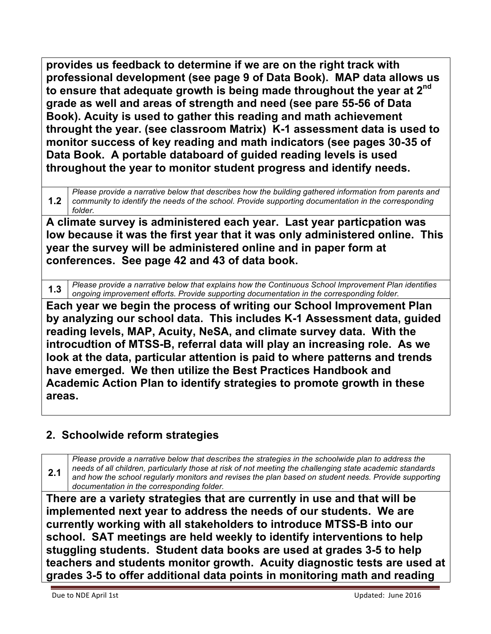**provides us feedback to determine if we are on the right track with professional development (see page 9 of Data Book). MAP data allows us to ensure that adequate growth is being made throughout the year at 2nd grade as well and areas of strength and need (see pare 55-56 of Data Book). Acuity is used to gather this reading and math achievement throught the year. (see classroom Matrix) K-1 assessment data is used to monitor success of key reading and math indicators (see pages 30-35 of Data Book. A portable databoard of guided reading levels is used throughout the year to monitor student progress and identify needs.** 

**1.2** *Please provide a narrative below that describes how the building gathered information from parents and community to identify the needs of the school. Provide supporting documentation in the corresponding folder.*

**A climate survey is administered each year. Last year particpation was low because it was the first year that it was only administered online. This year the survey will be administered online and in paper form at conferences. See page 42 and 43 of data book.**

**1.3** *Please provide a narrative below that explains how the Continuous School Improvement Plan identifies ongoing improvement efforts. Provide supporting documentation in the corresponding folder.*

**Each year we begin the process of writing our School Improvement Plan by analyzing our school data. This includes K-1 Assessment data, guided reading levels, MAP, Acuity, NeSA, and climate survey data. With the introcudtion of MTSS-B, referral data will play an increasing role. As we look at the data, particular attention is paid to where patterns and trends have emerged. We then utilize the Best Practices Handbook and Academic Action Plan to identify strategies to promote growth in these areas.**

# **2. Schoolwide reform strategies**

**2.1** *Please provide a narrative below that describes the strategies in the schoolwide plan to address the needs of all children, particularly those at risk of not meeting the challenging state academic standards and how the school regularly monitors and revises the plan based on student needs. Provide supporting documentation in the corresponding folder.*

**There are a variety strategies that are currently in use and that will be implemented next year to address the needs of our students. We are currently working with all stakeholders to introduce MTSS-B into our school. SAT meetings are held weekly to identify interventions to help stuggling students. Student data books are used at grades 3-5 to help teachers and students monitor growth. Acuity diagnostic tests are used at grades 3-5 to offer additional data points in monitoring math and reading**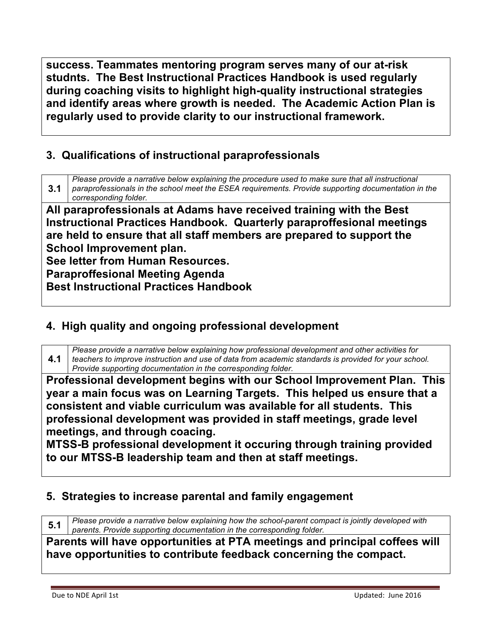**success. Teammates mentoring program serves many of our at-risk studnts. The Best Instructional Practices Handbook is used regularly during coaching visits to highlight high-quality instructional strategies and identify areas where growth is needed. The Academic Action Plan is regularly used to provide clarity to our instructional framework.**

# **3. Qualifications of instructional paraprofessionals**

**3.1** *Please provide a narrative below explaining the procedure used to make sure that all instructional paraprofessionals in the school meet the ESEA requirements. Provide supporting documentation in the corresponding folder.*

**All paraprofessionals at Adams have received training with the Best Instructional Practices Handbook. Quarterly paraproffesional meetings are held to ensure that all staff members are prepared to support the School Improvement plan.**

**See letter from Human Resources.**

**Paraproffesional Meeting Agenda**

**Best Instructional Practices Handbook**

# **4. High quality and ongoing professional development**

**4.1** *Please provide a narrative below explaining how professional development and other activities for teachers to improve instruction and use of data from academic standards is provided for your school. Provide supporting documentation in the corresponding folder.*

**Professional development begins with our School Improvement Plan. This year a main focus was on Learning Targets. This helped us ensure that a consistent and viable curriculum was available for all students. This professional development was provided in staff meetings, grade level meetings, and through coacing.**

**MTSS-B professional development it occuring through training provided to our MTSS-B leadership team and then at staff meetings.**

### **5. Strategies to increase parental and family engagement**

**5.1** *Please provide a narrative below explaining how the school-parent compact is jointly developed with parents. Provide supporting documentation in the corresponding folder.*

**Parents will have opportunities at PTA meetings and principal coffees will have opportunities to contribute feedback concerning the compact.**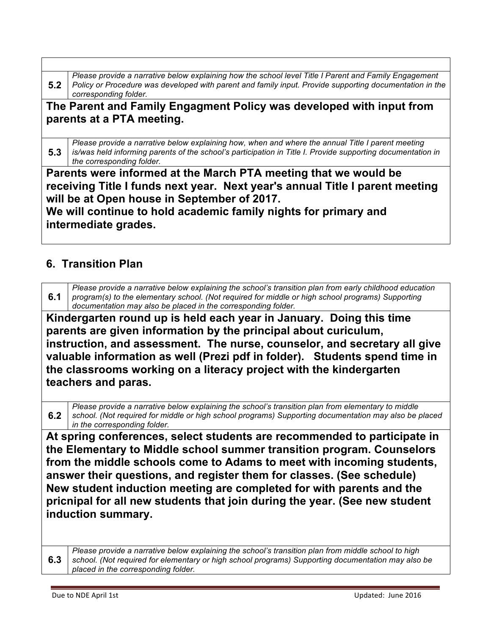**5.2** *Please provide a narrative below explaining how the school level Title I Parent and Family Engagement Policy or Procedure was developed with parent and family input. Provide supporting documentation in the corresponding folder.*

#### **The Parent and Family Engagment Policy was developed with input from parents at a PTA meeting.**

**5.3** *Please provide a narrative below explaining how, when and where the annual Title I parent meeting is/was held informing parents of the school's participation in Title I. Provide supporting documentation in the corresponding folder.*

**Parents were informed at the March PTA meeting that we would be receiving Title I funds next year. Next year's annual Title I parent meeting will be at Open house in September of 2017. We will continue to hold academic family nights for primary and** 

**intermediate grades.**

### **6. Transition Plan**

**6.1** *Please provide a narrative below explaining the school's transition plan from early childhood education program(s) to the elementary school. (Not required for middle or high school programs) Supporting documentation may also be placed in the corresponding folder.*

**Kindergarten round up is held each year in January. Doing this time parents are given information by the principal about curiculum, instruction, and assessment. The nurse, counselor, and secretary all give valuable information as well (Prezi pdf in folder). Students spend time in the classrooms working on a literacy project with the kindergarten teachers and paras.**

**6.2** *Please provide a narrative below explaining the school's transition plan from elementary to middle school. (Not required for middle or high school programs) Supporting documentation may also be placed in the corresponding folder.*

**At spring conferences, select students are recommended to participate in the Elementary to Middle school summer transition program. Counselors from the middle schools come to Adams to meet with incoming students, answer their questions, and register them for classes. (See schedule) New student induction meeting are completed for with parents and the pricnipal for all new students that join during the year. (See new student induction summary.**

**6.3** *Please provide a narrative below explaining the school's transition plan from middle school to high school. (Not required for elementary or high school programs) Supporting documentation may also be placed in the corresponding folder.*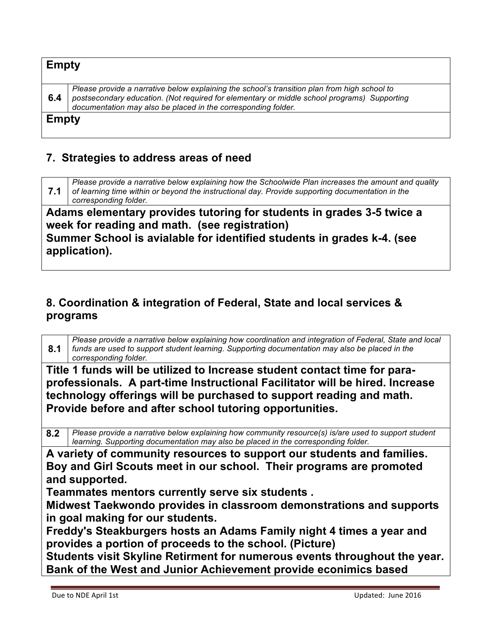| <b>Empty</b> |                                                                                                                                                                                                                                                              |
|--------------|--------------------------------------------------------------------------------------------------------------------------------------------------------------------------------------------------------------------------------------------------------------|
| 6.4          | Please provide a narrative below explaining the school's transition plan from high school to<br>postsecondary education. (Not required for elementary or middle school programs) Supporting<br>documentation may also be placed in the corresponding folder. |
| <b>Empty</b> |                                                                                                                                                                                                                                                              |

#### **7. Strategies to address areas of need**

**7.1** *Please provide a narrative below explaining how the Schoolwide Plan increases the amount and quality of learning time within or beyond the instructional day. Provide supporting documentation in the corresponding folder.* **Adams elementary provides tutoring for students in grades 3-5 twice a week for reading and math. (see registration)**

**Summer School is avialable for identified students in grades k-4. (see application).**

# **8. Coordination & integration of Federal, State and local services & programs**

| 8.1 | Please provide a narrative below explaining how coordination and integration of Federal, State and local<br>funds are used to support student learning. Supporting documentation may also be placed in the<br>corresponding folder.                                                         |
|-----|---------------------------------------------------------------------------------------------------------------------------------------------------------------------------------------------------------------------------------------------------------------------------------------------|
|     | Title 1 funds will be utilized to Increase student contact time for para-<br>professionals. A part-time Instructional Facilitator will be hired. Increase<br>technology offerings will be purchased to support reading and math.<br>Provide before and after school tutoring opportunities. |
| 8.2 | Please provide a narrative below explaining how community resource(s) is/are used to support student<br>learning. Supporting documentation may also be placed in the corresponding folder.                                                                                                  |
|     | A variety of community resources to support our students and families.<br>Boy and Girl Scouts meet in our school. Their programs are promoted<br>and supported.<br>Teammates mentors currently serve six students.<br>Midwest Taekwondo provides in classroom demonstrations and supports   |
|     | in goal making for our students.<br>Freddy's Steakburgers hosts an Adams Family night 4 times a year and<br>provides a portion of proceeds to the school. (Picture)                                                                                                                         |
|     | Students visit Skyline Retirment for numerous events throughout the year.<br>Bank of the West and Junior Achievement provide econimics based                                                                                                                                                |